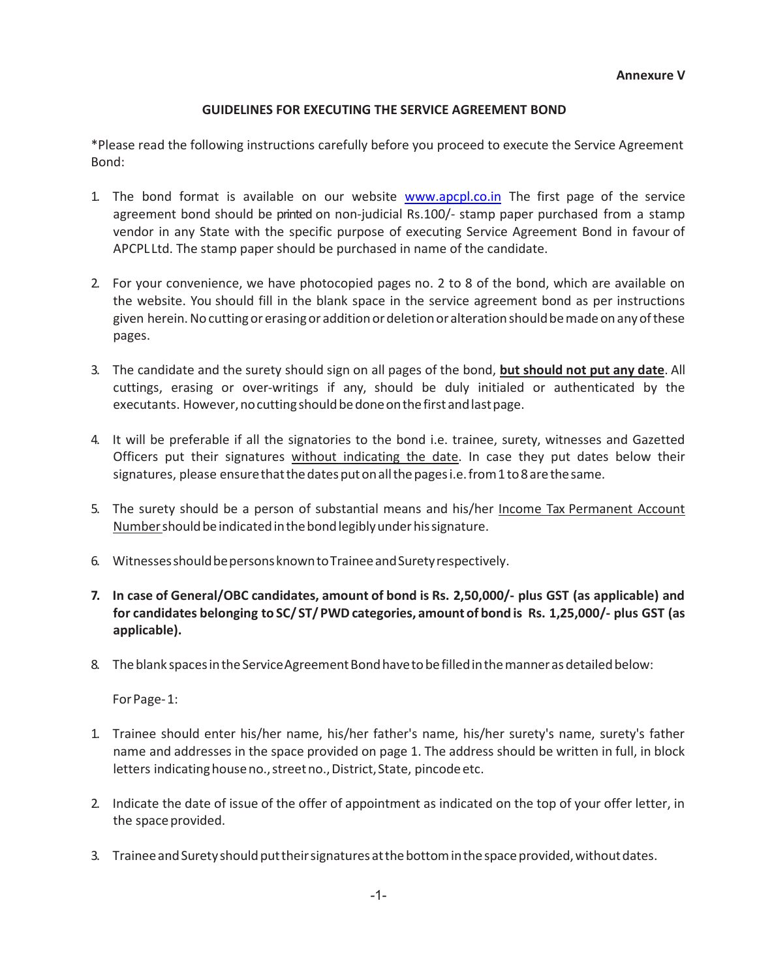## GUIDELINES FOR EXECUTING THE SERVICE AGREEMENT BOND

\*Please read the following instructions carefully before you proceed to execute the Service Agreement Bond:

- 1. The bond format is available on our website www.apcpl.co.in The first page of the service agreement bond should be printed on non-judicial Rs.100/- stamp paper purchased from a stamp vendor in any State with the specific purpose of executing Service Agreement Bond in favour of APCPL Ltd. The stamp paper should be purchased in name of the candidate.
- 2. For your convenience, we have photocopied pages no. 2 to 8 of the bond, which are available on the website. You should fill in the blank space in the service agreement bond as per instructions given herein. No cutting or erasing or addition or deletion or alteration should be made on any of these pages.
- 3. The candidate and the surety should sign on all pages of the bond, but should not put any date. All cuttings, erasing or over-writings if any, should be duly initialed or authenticated by the executants. However, no cutting should be done on the first and last page.
- 4. It will be preferable if all the signatories to the bond i.e. trainee, surety, witnesses and Gazetted Officers put their signatures without indicating the date. In case they put dates below their signatures, please ensure that the dates put on all the pages i.e. from 1 to 8 are the same.
- 5. The surety should be a person of substantial means and his/her Income Tax Permanent Account Number should be indicated in the bond legibly under his signature.
- 6. Witnesses should be persons known to Trainee and Surety respectively.
- 7. In case of General/OBC candidates, amount of bond is Rs. 2,50,000/- plus GST (as applicable) and for candidates belonging to SC/ ST/ PWD categories, amount of bond is Rs. 1,25,000/- plus GST (as applicable).
- 8. The blank spaces in the Service Agreement Bond have to be filled in the manner as detailed below:

For Page- 1:

- 1. Trainee should enter his/her name, his/her father's name, his/her surety's name, surety's father name and addresses in the space provided on page 1. The address should be written in full, in block letters indicating house no., street no., District, State, pincode etc.
- 2. Indicate the date of issue of the offer of appointment as indicated on the top of your offer letter, in the space provided.
- 3. Trainee and Surety should put their signatures at the bottom in the space provided, without dates.